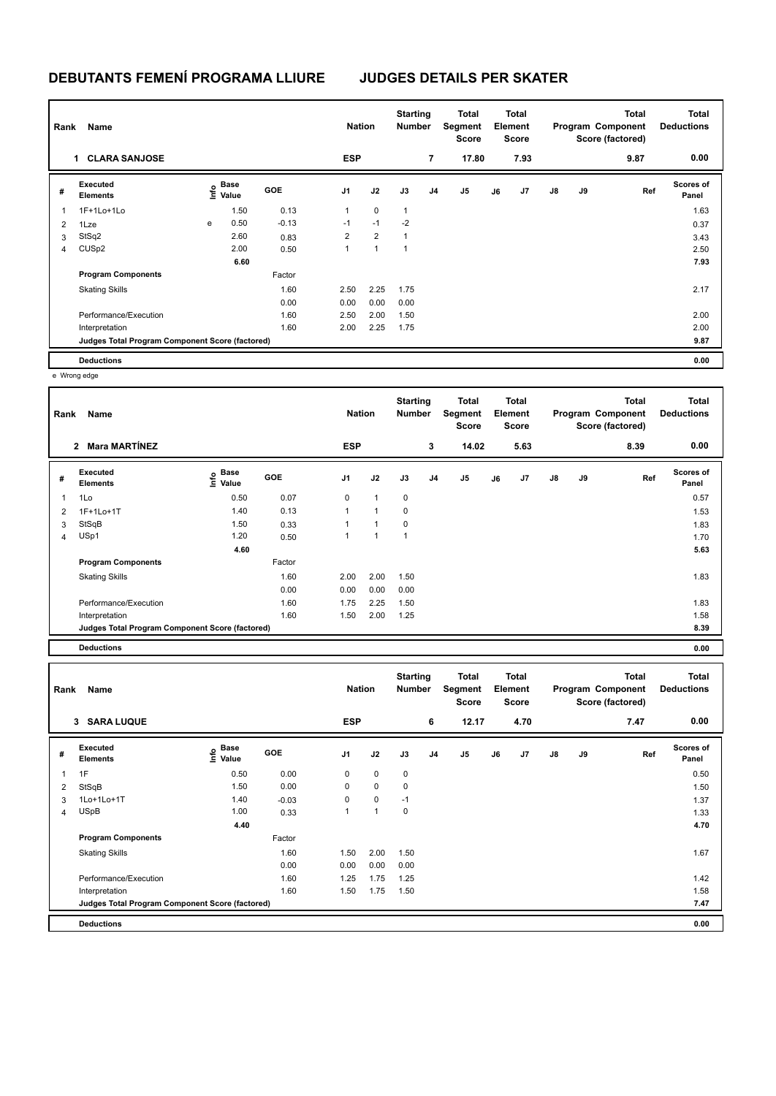# **DEBUTANTS FEMENÍ PROGRAMA LLIURE JUDGES DETAILS PER SKATER**

| Rank                     | Name                                            |   | <b>Nation</b>             |            | <b>Starting</b><br><b>Number</b> | <b>Total</b><br>Segment<br><b>Score</b> | Total<br>Element<br><b>Score</b> |                | Program Component |    | <b>Total</b><br>Score (factored) | Total<br><b>Deductions</b> |    |      |                           |
|--------------------------|-------------------------------------------------|---|---------------------------|------------|----------------------------------|-----------------------------------------|----------------------------------|----------------|-------------------|----|----------------------------------|----------------------------|----|------|---------------------------|
|                          | <b>CLARA SANJOSE</b><br>1                       |   |                           |            | <b>ESP</b>                       |                                         |                                  | $\overline{7}$ | 17.80             |    | 7.93                             |                            |    | 9.87 | 0.00                      |
| #                        | Executed<br><b>Elements</b>                     |   | Base<br>o Base<br>⊆ Value | <b>GOE</b> | J <sub>1</sub>                   | J2                                      | J3                               | J <sub>4</sub> | J5                | J6 | J7                               | $\mathsf{J}8$              | J9 | Ref  | <b>Scores of</b><br>Panel |
| $\overline{\phantom{a}}$ | 1F+1Lo+1Lo                                      |   | 1.50                      | 0.13       | 1                                | 0                                       | $\mathbf{1}$                     |                |                   |    |                                  |                            |    |      | 1.63                      |
| $\overline{2}$           | 1Lze                                            | e | 0.50                      | $-0.13$    | $-1$                             | $-1$                                    | $-2$                             |                |                   |    |                                  |                            |    |      | 0.37                      |
| 3                        | StSq2                                           |   | 2.60                      | 0.83       | $\overline{2}$                   | $\overline{2}$                          | 1                                |                |                   |    |                                  |                            |    |      | 3.43                      |
| 4                        | CUS <sub>p2</sub>                               |   | 2.00                      | 0.50       | 1                                | 1                                       | $\overline{1}$                   |                |                   |    |                                  |                            |    |      | 2.50                      |
|                          |                                                 |   | 6.60                      |            |                                  |                                         |                                  |                |                   |    |                                  |                            |    |      | 7.93                      |
|                          | <b>Program Components</b>                       |   |                           | Factor     |                                  |                                         |                                  |                |                   |    |                                  |                            |    |      |                           |
|                          | <b>Skating Skills</b>                           |   |                           | 1.60       | 2.50                             | 2.25                                    | 1.75                             |                |                   |    |                                  |                            |    |      | 2.17                      |
|                          |                                                 |   |                           | 0.00       | 0.00                             | 0.00                                    | 0.00                             |                |                   |    |                                  |                            |    |      |                           |
|                          | Performance/Execution                           |   |                           | 1.60       | 2.50                             | 2.00                                    | 1.50                             |                |                   |    |                                  |                            |    |      | 2.00                      |
|                          | Interpretation                                  |   |                           | 1.60       | 2.00                             | 2.25                                    | 1.75                             |                |                   |    |                                  |                            |    |      | 2.00                      |
|                          | Judges Total Program Component Score (factored) |   |                           |            |                                  |                                         |                                  |                |                   |    |                                  |                            |    |      | 9.87                      |
|                          | <b>Deductions</b>                               |   |                           |            |                                  |                                         |                                  |                |                   |    |                                  |                            |    |      | 0.00                      |

e Wrong edge

| Rank           | Name                                            |                           | <b>Nation</b> |                | <b>Starting</b><br><b>Number</b> | Total<br>Segment<br><b>Score</b> | <b>Total</b><br>Element<br><b>Score</b> |       | Program Component<br>Score (factored) |      | Total | <b>Total</b><br><b>Deductions</b> |      |                    |
|----------------|-------------------------------------------------|---------------------------|---------------|----------------|----------------------------------|----------------------------------|-----------------------------------------|-------|---------------------------------------|------|-------|-----------------------------------|------|--------------------|
|                | Mara MARTÍNEZ<br>$\overline{2}$                 |                           |               | <b>ESP</b>     |                                  |                                  | 3                                       | 14.02 |                                       | 5.63 |       |                                   | 8.39 | 0.00               |
| #              | Executed<br><b>Elements</b>                     | Base<br>e Base<br>⊆ Value | GOE           | J <sub>1</sub> | J2                               | J3                               | J <sub>4</sub>                          | J5    | J6                                    | J7   | J8    | J9                                | Ref  | Scores of<br>Panel |
| 1              | 1Lo                                             | 0.50                      | 0.07          | 0              | $\mathbf{1}$                     | $\pmb{0}$                        |                                         |       |                                       |      |       |                                   |      | 0.57               |
| $\overline{2}$ | 1F+1Lo+1T                                       | 1.40                      | 0.13          | $\mathbf{1}$   | 1                                | 0                                |                                         |       |                                       |      |       |                                   |      | 1.53               |
| 3              | StSqB                                           | 1.50                      | 0.33          | 1              | 1                                | 0                                |                                         |       |                                       |      |       |                                   |      | 1.83               |
| 4              | USp1                                            | 1.20                      | 0.50          | 1              | 1                                | 1                                |                                         |       |                                       |      |       |                                   |      | 1.70               |
|                |                                                 | 4.60                      |               |                |                                  |                                  |                                         |       |                                       |      |       |                                   |      | 5.63               |
|                | <b>Program Components</b>                       |                           | Factor        |                |                                  |                                  |                                         |       |                                       |      |       |                                   |      |                    |
|                | <b>Skating Skills</b>                           |                           | 1.60          | 2.00           | 2.00                             | 1.50                             |                                         |       |                                       |      |       |                                   |      | 1.83               |
|                |                                                 |                           | 0.00          | 0.00           | 0.00                             | 0.00                             |                                         |       |                                       |      |       |                                   |      |                    |
|                | Performance/Execution                           |                           | 1.60          | 1.75           | 2.25                             | 1.50                             |                                         |       |                                       |      |       |                                   |      | 1.83               |
|                | Interpretation                                  |                           | 1.60          | 1.50           | 2.00                             | 1.25                             |                                         |       |                                       |      |       |                                   |      | 1.58               |
|                | Judges Total Program Component Score (factored) |                           |               |                |                                  |                                  |                                         |       |                                       |      |       |                                   |      | 8.39               |
|                | <b>Deductions</b>                               |                           |               |                |                                  |                                  |                                         |       |                                       |      |       |                                   |      | 0.00               |

| Rank | Name                                            |                                  |            | <b>Nation</b>  |             | <b>Starting</b><br><b>Number</b> |                | Total<br>Segment<br><b>Score</b> |    | <b>Total</b><br>Element<br><b>Score</b> |               |    | <b>Total</b><br>Program Component<br>Score (factored) | <b>Total</b><br><b>Deductions</b> |
|------|-------------------------------------------------|----------------------------------|------------|----------------|-------------|----------------------------------|----------------|----------------------------------|----|-----------------------------------------|---------------|----|-------------------------------------------------------|-----------------------------------|
|      | 3 SARA LUQUE                                    |                                  |            | <b>ESP</b>     |             |                                  | 6              | 12.17                            |    | 4.70                                    |               |    | 7.47                                                  | 0.00                              |
| #    | Executed<br><b>Elements</b>                     | <b>Base</b><br>e Base<br>⊆ Value | <b>GOE</b> | J <sub>1</sub> | J2          | J3                               | J <sub>4</sub> | J5                               | J6 | J7                                      | $\mathsf{J}8$ | J9 | Ref                                                   | <b>Scores of</b><br>Panel         |
|      | 1F                                              | 0.50                             | 0.00       | 0              | $\mathbf 0$ | 0                                |                |                                  |    |                                         |               |    |                                                       | 0.50                              |
| 2    | StSqB                                           | 1.50                             | 0.00       | 0              | $\mathbf 0$ | 0                                |                |                                  |    |                                         |               |    |                                                       | 1.50                              |
| 3    | 1Lo+1Lo+1T                                      | 1.40                             | $-0.03$    | 0              | $\mathbf 0$ | $-1$                             |                |                                  |    |                                         |               |    |                                                       | 1.37                              |
| 4    | <b>USpB</b>                                     | 1.00                             | 0.33       |                |             | 0                                |                |                                  |    |                                         |               |    |                                                       | 1.33                              |
|      |                                                 | 4.40                             |            |                |             |                                  |                |                                  |    |                                         |               |    |                                                       | 4.70                              |
|      | <b>Program Components</b>                       |                                  | Factor     |                |             |                                  |                |                                  |    |                                         |               |    |                                                       |                                   |
|      | <b>Skating Skills</b>                           |                                  | 1.60       | 1.50           | 2.00        | 1.50                             |                |                                  |    |                                         |               |    |                                                       | 1.67                              |
|      |                                                 |                                  | 0.00       | 0.00           | 0.00        | 0.00                             |                |                                  |    |                                         |               |    |                                                       |                                   |
|      | Performance/Execution                           |                                  | 1.60       | 1.25           | 1.75        | 1.25                             |                |                                  |    |                                         |               |    |                                                       | 1.42                              |
|      | Interpretation                                  |                                  | 1.60       | 1.50           | 1.75        | 1.50                             |                |                                  |    |                                         |               |    |                                                       | 1.58                              |
|      | Judges Total Program Component Score (factored) |                                  |            |                |             |                                  |                |                                  |    |                                         |               |    |                                                       | 7.47                              |
|      | <b>Deductions</b>                               |                                  |            |                |             |                                  |                |                                  |    |                                         |               |    |                                                       | 0.00                              |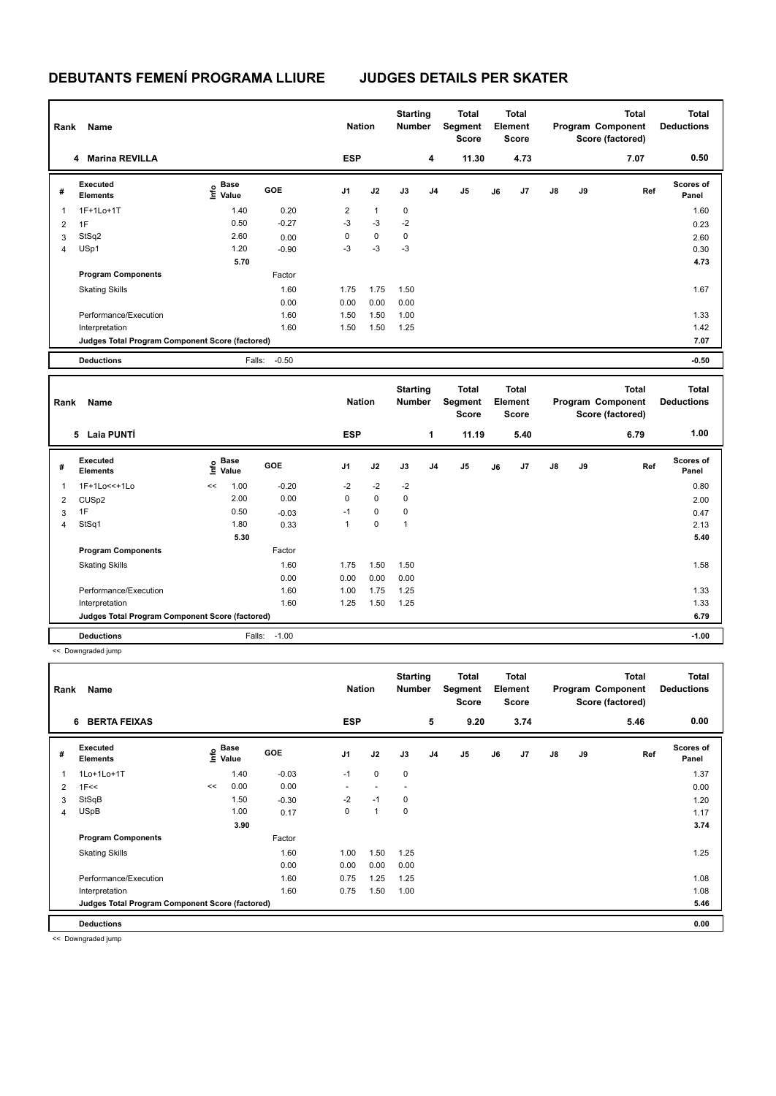### **DEBUTANTS FEMENÍ PROGRAMA LLIURE JUDGES DETAILS PER SKATER**

| Rank           | Name                                            |                                           |            |                | <b>Nation</b> |                                  | <b>Starting</b><br><b>Number</b> | <b>Total</b><br>Segment<br><b>Score</b> | <b>Total</b><br>Element<br><b>Score</b> |                                  |    | <b>Total</b><br>Program Component<br>Score (factored) |                                                       | <b>Total</b><br><b>Deductions</b> |
|----------------|-------------------------------------------------|-------------------------------------------|------------|----------------|---------------|----------------------------------|----------------------------------|-----------------------------------------|-----------------------------------------|----------------------------------|----|-------------------------------------------------------|-------------------------------------------------------|-----------------------------------|
|                | 4 Marina REVILLA                                |                                           |            | <b>ESP</b>     |               |                                  | 4                                | 11.30                                   |                                         | 4.73                             |    |                                                       | 7.07                                                  | 0.50                              |
| #              | Executed<br><b>Elements</b>                     | $\frac{e}{E}$ Base<br>$\frac{e}{E}$ Value | <b>GOE</b> | J <sub>1</sub> | J2            | J3                               | J <sub>4</sub>                   | J <sub>5</sub>                          | J6                                      | J <sub>7</sub>                   | J8 | J9                                                    | Ref                                                   | Scores of<br>Panel                |
| 1              | 1F+1Lo+1T                                       | 1.40                                      | 0.20       | $\overline{2}$ | $\mathbf{1}$  | 0                                |                                  |                                         |                                         |                                  |    |                                                       |                                                       | 1.60                              |
| 2              | 1F                                              | 0.50                                      | $-0.27$    | $-3$           | $-3$          | $-2$                             |                                  |                                         |                                         |                                  |    |                                                       |                                                       | 0.23                              |
| 3              | StSq2                                           | 2.60                                      | 0.00       | 0              | $\pmb{0}$     | 0                                |                                  |                                         |                                         |                                  |    |                                                       |                                                       | 2.60                              |
| $\overline{4}$ | USp1                                            | 1.20                                      | $-0.90$    | $-3$           | $-3$          | $-3$                             |                                  |                                         |                                         |                                  |    |                                                       |                                                       | 0.30                              |
|                |                                                 | 5.70                                      |            |                |               |                                  |                                  |                                         |                                         |                                  |    |                                                       |                                                       | 4.73                              |
|                | <b>Program Components</b>                       |                                           | Factor     |                |               |                                  |                                  |                                         |                                         |                                  |    |                                                       |                                                       |                                   |
|                | <b>Skating Skills</b>                           |                                           | 1.60       | 1.75           | 1.75          | 1.50                             |                                  |                                         |                                         |                                  |    |                                                       |                                                       | 1.67                              |
|                |                                                 |                                           | 0.00       | 0.00           | 0.00          | 0.00                             |                                  |                                         |                                         |                                  |    |                                                       |                                                       |                                   |
|                | Performance/Execution                           |                                           | 1.60       | 1.50           | 1.50          | 1.00                             |                                  |                                         |                                         |                                  |    |                                                       |                                                       | 1.33                              |
|                | Interpretation                                  |                                           | 1.60       | 1.50           | 1.50          | 1.25                             |                                  |                                         |                                         |                                  |    |                                                       |                                                       | 1.42                              |
|                | Judges Total Program Component Score (factored) |                                           |            |                |               |                                  |                                  |                                         |                                         |                                  |    |                                                       |                                                       | 7.07                              |
|                | <b>Deductions</b>                               | Falls:                                    | $-0.50$    |                |               |                                  |                                  |                                         |                                         |                                  |    |                                                       |                                                       | $-0.50$                           |
| Rank<br>Name   |                                                 |                                           |            | <b>Nation</b>  |               | <b>Starting</b><br><b>Number</b> |                                  | <b>Total</b><br>Segment<br><b>Score</b> |                                         | <b>Total</b><br>Element<br>Score |    |                                                       | <b>Total</b><br>Program Component<br>Score (factored) | <b>Total</b><br><b>Deductions</b> |
|                | <b>Laia PUNTÍ</b><br>5                          |                                           |            | <b>ESP</b>     |               |                                  | 1                                | 11.19                                   |                                         | 5.40                             |    |                                                       | 6.79                                                  | 1.00                              |
| #              | Executed<br><b>Elements</b>                     | <b>Base</b><br>lnfo<br>Value              | <b>GOE</b> | J <sub>1</sub> | J2            | J3                               | J <sub>4</sub>                   | J <sub>5</sub>                          | J6                                      | J <sub>7</sub>                   | J8 | J9                                                    | Ref                                                   | <b>Scores of</b><br>Panel         |
| 1              | 1F+1Lo<<+1Lo                                    | 1.00<br><<                                | $-0.20$    | $-2$           | $-2$          | $-2$                             |                                  |                                         |                                         |                                  |    |                                                       |                                                       | 0.80                              |
| 2              | CUSp2                                           | 2.00                                      | 0.00       | 0              | $\mathbf 0$   | $\mathbf 0$                      |                                  |                                         |                                         |                                  |    |                                                       |                                                       | 2.00                              |
| 3              | 1F                                              | 0.50                                      | $-0.03$    | $-1$           | $\pmb{0}$     | 0                                |                                  |                                         |                                         |                                  |    |                                                       |                                                       | 0.47                              |
| 4              | StSq1                                           | 1.80                                      | 0.33       | 1              | 0             | $\mathbf{1}$                     |                                  |                                         |                                         |                                  |    |                                                       |                                                       | 2.13                              |

 **5.30 5.40 Program Components**  Skating Skills 1.75 1.50 1.50 1.60 1.58 Factor 0.00 0.00 0.00 0.00 Performance/Execution 1.60 1.00 1.75 1.25 1.33 Interpretation 1.60 1.25 1.50 1.25 1.50 1.25 1.33 **Deductions** Falls: -1.00 **-1.00 Judges Total Program Component Score (factored) 6.79**

<< Downgraded jump

| Rank | Name                                            |      | <b>Nation</b>        |            | <b>Starting</b><br><b>Number</b> | Total<br>Segment<br><b>Score</b> |             | Total<br>Element<br><b>Score</b> |                |    | <b>Total</b><br>Program Component<br>Score (factored) | Total<br><b>Deductions</b> |    |      |                           |
|------|-------------------------------------------------|------|----------------------|------------|----------------------------------|----------------------------------|-------------|----------------------------------|----------------|----|-------------------------------------------------------|----------------------------|----|------|---------------------------|
|      | <b>BERTA FEIXAS</b><br>6                        |      |                      |            | <b>ESP</b>                       |                                  |             | 5                                | 9.20           |    | 3.74                                                  |                            |    | 5.46 | 0.00                      |
| #    | <b>Executed</b><br><b>Elements</b>              | ١nf٥ | <b>Base</b><br>Value | <b>GOE</b> | J <sub>1</sub>                   | J2                               | J3          | J <sub>4</sub>                   | J <sub>5</sub> | J6 | J7                                                    | $\mathsf{J}8$              | J9 | Ref  | <b>Scores of</b><br>Panel |
| 1    | 1Lo+1Lo+1T                                      |      | 1.40                 | $-0.03$    | $-1$                             | $\mathbf 0$                      | $\mathbf 0$ |                                  |                |    |                                                       |                            |    |      | 1.37                      |
| 2    | 1F<<                                            | <<   | 0.00                 | 0.00       |                                  |                                  |             |                                  |                |    |                                                       |                            |    |      | 0.00                      |
| 3    | StSqB                                           |      | 1.50                 | $-0.30$    | $-2$                             | $-1$                             | $\mathbf 0$ |                                  |                |    |                                                       |                            |    |      | 1.20                      |
| 4    | <b>USpB</b>                                     |      | 1.00                 | 0.17       | 0                                | 1                                | $\mathbf 0$ |                                  |                |    |                                                       |                            |    |      | 1.17                      |
|      |                                                 |      | 3.90                 |            |                                  |                                  |             |                                  |                |    |                                                       |                            |    |      | 3.74                      |
|      | <b>Program Components</b>                       |      |                      | Factor     |                                  |                                  |             |                                  |                |    |                                                       |                            |    |      |                           |
|      | <b>Skating Skills</b>                           |      |                      | 1.60       | 1.00                             | 1.50                             | 1.25        |                                  |                |    |                                                       |                            |    |      | 1.25                      |
|      |                                                 |      |                      | 0.00       | 0.00                             | 0.00                             | 0.00        |                                  |                |    |                                                       |                            |    |      |                           |
|      | Performance/Execution                           |      |                      | 1.60       | 0.75                             | 1.25                             | 1.25        |                                  |                |    |                                                       |                            |    |      | 1.08                      |
|      | Interpretation                                  |      |                      | 1.60       | 0.75                             | 1.50                             | 1.00        |                                  |                |    |                                                       |                            |    |      | 1.08                      |
|      | Judges Total Program Component Score (factored) |      |                      |            |                                  |                                  |             |                                  |                |    |                                                       |                            |    |      | 5.46                      |
|      | <b>Deductions</b>                               |      |                      |            |                                  |                                  |             |                                  |                |    |                                                       |                            |    |      | 0.00                      |

<< Downgraded jump